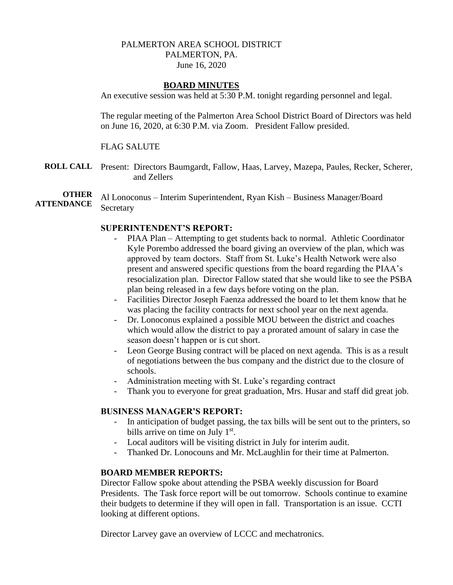# PALMERTON AREA SCHOOL DISTRICT PALMERTON, PA. June 16, 2020

#### **BOARD MINUTES**

An executive session was held at 5:30 P.M. tonight regarding personnel and legal.

The regular meeting of the Palmerton Area School District Board of Directors was held on June 16, 2020, at 6:30 P.M. via Zoom. President Fallow presided.

#### FLAG SALUTE

**ROLL CALL** Present: Directors Baumgardt, Fallow, Haas, Larvey, Mazepa, Paules, Recker, Scherer, and Zellers

**OTHER ATTENDANCE** Al Lonoconus – Interim Superintendent, Ryan Kish – Business Manager/Board **Secretary** 

#### **SUPERINTENDENT'S REPORT:**

- PIAA Plan Attempting to get students back to normal. Athletic Coordinator Kyle Porembo addressed the board giving an overview of the plan, which was approved by team doctors. Staff from St. Luke's Health Network were also present and answered specific questions from the board regarding the PIAA's resocialization plan. Director Fallow stated that she would like to see the PSBA plan being released in a few days before voting on the plan.
- Facilities Director Joseph Faenza addressed the board to let them know that he was placing the facility contracts for next school year on the next agenda.
- Dr. Lonoconus explained a possible MOU between the district and coaches which would allow the district to pay a prorated amount of salary in case the season doesn't happen or is cut short.
- Leon George Busing contract will be placed on next agenda. This is as a result of negotiations between the bus company and the district due to the closure of schools.
- Administration meeting with St. Luke's regarding contract
- Thank you to everyone for great graduation, Mrs. Husar and staff did great job.

# **BUSINESS MANAGER'S REPORT:**

- In anticipation of budget passing, the tax bills will be sent out to the printers, so bills arrive on time on July  $1<sup>st</sup>$ .
- Local auditors will be visiting district in July for interim audit.
- Thanked Dr. Lonocouns and Mr. McLaughlin for their time at Palmerton.

#### **BOARD MEMBER REPORTS:**

Director Fallow spoke about attending the PSBA weekly discussion for Board Presidents. The Task force report will be out tomorrow. Schools continue to examine their budgets to determine if they will open in fall. Transportation is an issue. CCTI looking at different options.

Director Larvey gave an overview of LCCC and mechatronics.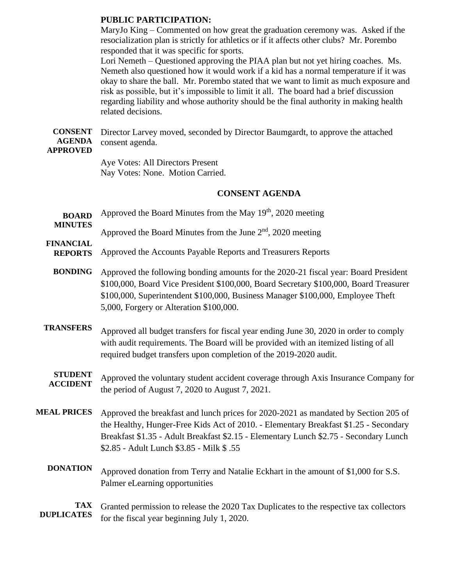#### **PUBLIC PARTICIPATION:**

MaryJo King – Commented on how great the graduation ceremony was. Asked if the resocialization plan is strictly for athletics or if it affects other clubs? Mr. Porembo responded that it was specific for sports.

Lori Nemeth – Questioned approving the PIAA plan but not yet hiring coaches. Ms. Nemeth also questioned how it would work if a kid has a normal temperature if it was okay to share the ball. Mr. Porembo stated that we want to limit as much exposure and risk as possible, but it's impossible to limit it all. The board had a brief discussion regarding liability and whose authority should be the final authority in making health related decisions.

**CONSENT AGENDA**  Director Larvey moved, seconded by Director Baumgardt, to approve the attached consent agenda.

# **APPROVED**

Aye Votes: All Directors Present Nay Votes: None. Motion Carried.

# **CONSENT AGENDA**

**BOARD**  Approved the Board Minutes from the May  $19<sup>th</sup>$ , 2020 meeting

**MINUTES**

Approved the Board Minutes from the June  $2<sup>nd</sup>$ , 2020 meeting

- **FINANCIAL REPORTS** Approved the Accounts Payable Reports and Treasurers Reports
	- **BONDING** Approved the following bonding amounts for the 2020-21 fiscal year: Board President \$100,000, Board Vice President \$100,000, Board Secretary \$100,000, Board Treasurer \$100,000, Superintendent \$100,000, Business Manager \$100,000, Employee Theft 5,000, Forgery or Alteration \$100,000.
- **TRANSFERS** Approved all budget transfers for fiscal year ending June 30, 2020 in order to comply with audit requirements. The Board will be provided with an itemized listing of all required budget transfers upon completion of the 2019-2020 audit.
	- **STUDENT ACCIDENT** Approved the voluntary student accident coverage through Axis Insurance Company for the period of August 7, 2020 to August 7, 2021.

**MEAL PRICES** Approved the breakfast and lunch prices for 2020-2021 as mandated by Section 205 of the Healthy, Hunger-Free Kids Act of 2010. - Elementary Breakfast \$1.25 - Secondary Breakfast \$1.35 - Adult Breakfast \$2.15 - Elementary Lunch \$2.75 - Secondary Lunch \$2.85 - Adult Lunch \$3.85 - Milk \$ .55

**DONATION** Approved donation from Terry and Natalie Eckhart in the amount of \$1,000 for S.S. Palmer eLearning opportunities

**TAX DUPLICATES** Granted permission to release the 2020 Tax Duplicates to the respective tax collectors for the fiscal year beginning July 1, 2020.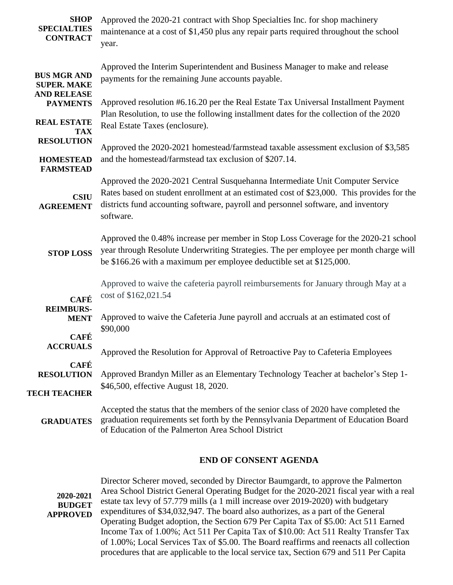| <b>SHOP</b><br><b>SPECIALTIES</b><br><b>CONTRACT</b>           | Approved the 2020-21 contract with Shop Specialties Inc. for shop machinery<br>maintenance at a cost of \$1,450 plus any repair parts required throughout the school<br>year.                                                                                                |
|----------------------------------------------------------------|------------------------------------------------------------------------------------------------------------------------------------------------------------------------------------------------------------------------------------------------------------------------------|
| <b>BUS MGR AND</b><br><b>SUPER. MAKE</b><br><b>AND RELEASE</b> | Approved the Interim Superintendent and Business Manager to make and release<br>payments for the remaining June accounts payable.                                                                                                                                            |
| <b>PAYMENTS</b>                                                | Approved resolution #6.16.20 per the Real Estate Tax Universal Installment Payment<br>Plan Resolution, to use the following installment dates for the collection of the 2020                                                                                                 |
| <b>REAL ESTATE</b><br><b>TAX</b>                               | Real Estate Taxes (enclosure).                                                                                                                                                                                                                                               |
| <b>RESOLUTION</b><br><b>HOMESTEAD</b>                          | Approved the 2020-2021 homestead/farmstead taxable assessment exclusion of \$3,585<br>and the homestead/farmstead tax exclusion of \$207.14.                                                                                                                                 |
| <b>FARMSTEAD</b><br><b>CSIU</b><br><b>AGREEMENT</b>            | Approved the 2020-2021 Central Susquehanna Intermediate Unit Computer Service<br>Rates based on student enrollment at an estimated cost of \$23,000. This provides for the<br>districts fund accounting software, payroll and personnel software, and inventory<br>software. |
| <b>STOP LOSS</b>                                               | Approved the 0.48% increase per member in Stop Loss Coverage for the 2020-21 school<br>year through Resolute Underwriting Strategies. The per employee per month charge will<br>be \$166.26 with a maximum per employee deductible set at \$125,000.                         |
| <b>CAFÉ</b>                                                    | Approved to waive the cafeteria payroll reimbursements for January through May at a<br>cost of \$162,021.54                                                                                                                                                                  |
| <b>REIMBURS-</b><br><b>MENT</b>                                | Approved to waive the Cafeteria June payroll and accruals at an estimated cost of<br>\$90,000                                                                                                                                                                                |
| <b>CAFÉ</b><br><b>ACCRUALS</b>                                 | Approved the Resolution for Approval of Retroactive Pay to Cafeteria Employees                                                                                                                                                                                               |
| <b>CAFÉ</b><br><b>RESOLUTION</b>                               | Approved Brandyn Miller as an Elementary Technology Teacher at bachelor's Step 1-                                                                                                                                                                                            |
| <b>TECH TEACHER</b>                                            | \$46,500, effective August 18, 2020.                                                                                                                                                                                                                                         |
| <b>GRADUATES</b>                                               | Accepted the status that the members of the senior class of 2020 have completed the<br>graduation requirements set forth by the Pennsylvania Department of Education Board<br>of Education of the Palmerton Area School District                                             |

#### **END OF CONSENT AGENDA**

**2020-2021 BUDGET APPROVED** Director Scherer moved, seconded by Director Baumgardt, to approve the Palmerton Area School District General Operating Budget for the 2020-2021 fiscal year with a real estate tax levy of 57.779 mills (a 1 mill increase over 2019-2020) with budgetary expenditures of \$34,032,947. The board also authorizes, as a part of the General Operating Budget adoption, the Section 679 Per Capita Tax of \$5.00: Act 511 Earned Income Tax of 1.00%; Act 511 Per Capita Tax of \$10.00: Act 511 Realty Transfer Tax of 1.00%; Local Services Tax of \$5.00. The Board reaffirms and reenacts all collection procedures that are applicable to the local service tax, Section 679 and 511 Per Capita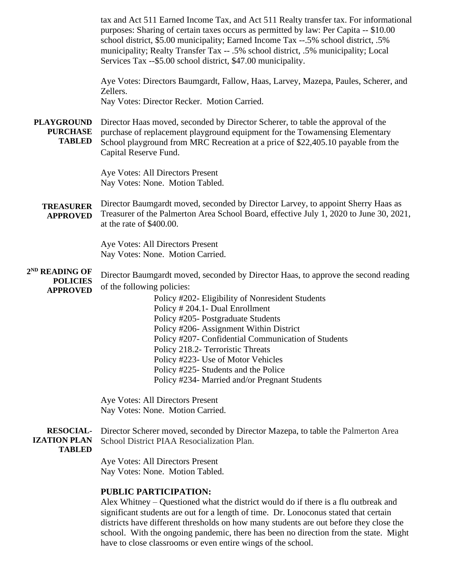tax and Act 511 Earned Income Tax, and Act 511 Realty transfer tax. For informational purposes: Sharing of certain taxes occurs as permitted by law: Per Capita -- \$10.00 school district, \$5.00 municipality; Earned Income Tax --.5% school district, .5% municipality; Realty Transfer Tax -- .5% school district, .5% municipality; Local Services Tax --\$5.00 school district, \$47.00 municipality.

Aye Votes: Directors Baumgardt, Fallow, Haas, Larvey, Mazepa, Paules, Scherer, and Zellers. Nay Votes: Director Recker. Motion Carried.

**PLAYGROUND PURCHASE TABLED** Director Haas moved, seconded by Director Scherer, to table the approval of the purchase of replacement playground equipment for the Towamensing Elementary School playground from MRC Recreation at a price of \$22,405.10 payable from the Capital Reserve Fund.

> Aye Votes: All Directors Present Nay Votes: None. Motion Tabled.

**TREASURER APPROVED** Director Baumgardt moved, seconded by Director Larvey, to appoint Sherry Haas as Treasurer of the Palmerton Area School Board, effective July 1, 2020 to June 30, 2021, at the rate of \$400.00.

> Aye Votes: All Directors Present Nay Votes: None. Motion Carried.

**2 ND READING OF POLICIES APPROVED** Director Baumgardt moved, seconded by Director Haas, to approve the second reading of the following policies:

> Policy #202- Eligibility of Nonresident Students Policy # 204.1- Dual Enrollment Policy #205- Postgraduate Students Policy #206- Assignment Within District Policy #207- Confidential Communication of Students Policy 218.2- Terroristic Threats Policy #223- Use of Motor Vehicles Policy #225- Students and the Police Policy #234- Married and/or Pregnant Students

Aye Votes: All Directors Present Nay Votes: None. Motion Carried.

**RESOCIAL-IZATION PLAN TABLED** Director Scherer moved, seconded by Director Mazepa, to table the Palmerton Area School District PIAA Resocialization Plan.

> Aye Votes: All Directors Present Nay Votes: None. Motion Tabled.

### **PUBLIC PARTICIPATION:**

Alex Whitney – Questioned what the district would do if there is a flu outbreak and significant students are out for a length of time. Dr. Lonoconus stated that certain districts have different thresholds on how many students are out before they close the school. With the ongoing pandemic, there has been no direction from the state. Might have to close classrooms or even entire wings of the school.